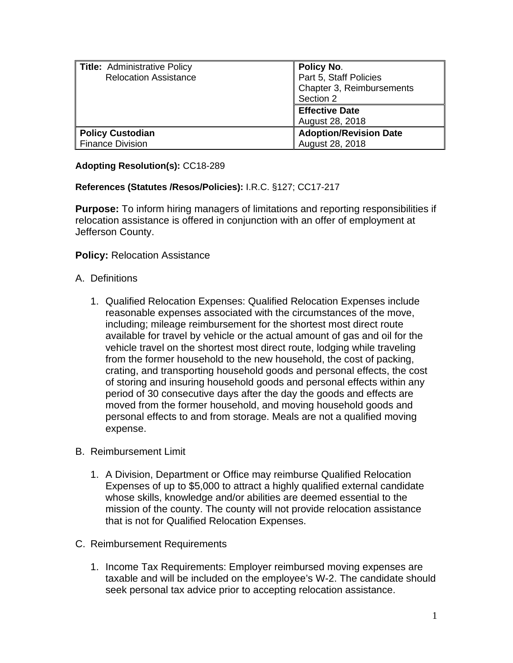| <b>Title: Administrative Policy</b><br><b>Relocation Assistance</b> | Policy No.<br>Part 5, Staff Policies<br>Chapter 3, Reimbursements<br>Section 2 |
|---------------------------------------------------------------------|--------------------------------------------------------------------------------|
|                                                                     | <b>Effective Date</b><br>August 28, 2018                                       |
| <b>Policy Custodian</b><br><b>Finance Division</b>                  | <b>Adoption/Revision Date</b><br>August 28, 2018                               |

## **Adopting Resolution(s):** CC18-289

## **References (Statutes /Resos/Policies):** I.R.C. §127; CC17-217

**Purpose:** To inform hiring managers of limitations and reporting responsibilities if relocation assistance is offered in conjunction with an offer of employment at Jefferson County.

## **Policy: Relocation Assistance**

## A. Definitions

- 1. Qualified Relocation Expenses: Qualified Relocation Expenses include reasonable expenses associated with the circumstances of the move, including; mileage reimbursement for the shortest most direct route available for travel by vehicle or the actual amount of gas and oil for the vehicle travel on the shortest most direct route, lodging while traveling from the former household to the new household, the cost of packing, crating, and transporting household goods and personal effects, the cost of storing and insuring household goods and personal effects within any period of 30 consecutive days after the day the goods and effects are moved from the former household, and moving household goods and personal effects to and from storage. Meals are not a qualified moving expense.
- B. Reimbursement Limit
	- 1. A Division, Department or Office may reimburse Qualified Relocation Expenses of up to \$5,000 to attract a highly qualified external candidate whose skills, knowledge and/or abilities are deemed essential to the mission of the county. The county will not provide relocation assistance that is not for Qualified Relocation Expenses.
- C. Reimbursement Requirements
	- 1. Income Tax Requirements: Employer reimbursed moving expenses are taxable and will be included on the employee's W-2. The candidate should seek personal tax advice prior to accepting relocation assistance.